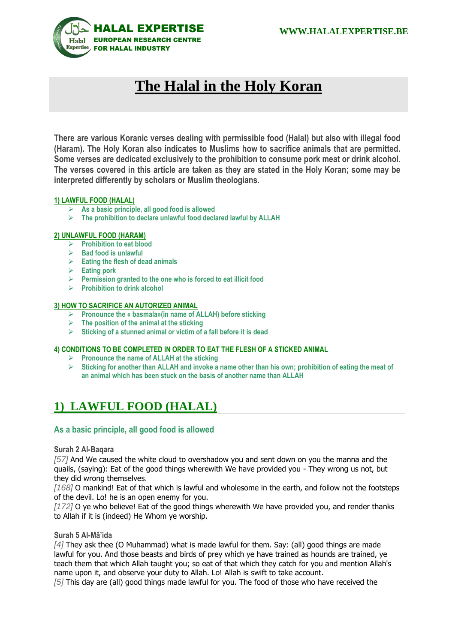

# **The Halal in the Holy Koran**

**There are various Koranic verses dealing with permissible food (Halal) but also with illegal food (Haram). The Holy Koran also indicates to Muslims how to sacrifice animals that are permitted. Some verses are dedicated exclusively to the prohibition to consume pork meat or drink alcohol. The verses covered in this article are taken as they are stated in the Holy Koran; some may be interpreted differently by scholars or Muslim theologians.** 

## **1) LAWFUL FOOD (HALAL)**

- **As a basic principle, all good food is allowed**
- **The prohibition to declare unlawful food declared lawful by ALLAH**

#### **2) UNLAWFUL FOOD (HARAM)**

- **Prohibition to eat blood**
- **Bad food is unlawful**
- **Eating the flesh of dead animals**
- **Eating pork**
- **Permission granted to the one who is forced to eat illicit food**
- **Prohibition to drink alcohol**

#### **3) HOW TO SACRIFICE AN AUTORIZED ANIMAL**

- **Pronounce the « basmala»(in name of ALLAH) before sticking**
- **The position of the animal at the sticking**
- **Sticking of a stunned animal or victim of a fall before it is dead**

## **4) CONDITIONS TO BE COMPLETED IN ORDER TO EAT THE FLESH OF A STICKED ANIMAL**

- **Pronounce the name of ALLAH at the sticking**
- **Sticking for another than ALLAH and invoke a name other than his own; prohibition of eating the meat of an animal which has been stuck on the basis of another name than ALLAH**

## **1) LAWFUL FOOD (HALAL)**

## **As a basic principle, all good food is allowed**

## **Surah 2 Al-Baqara**

*[57]* And We caused the white cloud to overshadow you and sent down on you the manna and the quails, (saying): Eat of the good things wherewith We have provided you - They wrong us not, but they did wrong themselves*.* 

*[168]* O mankind! Eat of that which is lawful and wholesome in the earth, and follow not the footsteps of the devil. Lo! he is an open enemy for you.

*[172]* O ye who believe! Eat of the good things wherewith We have provided you, and render thanks to Allah if it is (indeed) He Whom ye worship.

## **Surah 5 Al-Mâ'ida**

*[4]* They ask thee (O Muhammad) what is made lawful for them. Say: (all) good things are made lawful for you. And those beasts and birds of prey which ye have trained as hounds are trained, ye teach them that which Allah taught you; so eat of that which they catch for you and mention Allah's name upon it, and observe your duty to Allah. Lo! Allah is swift to take account.

*[5]* This day are (all) good things made lawful for you. The food of those who have received the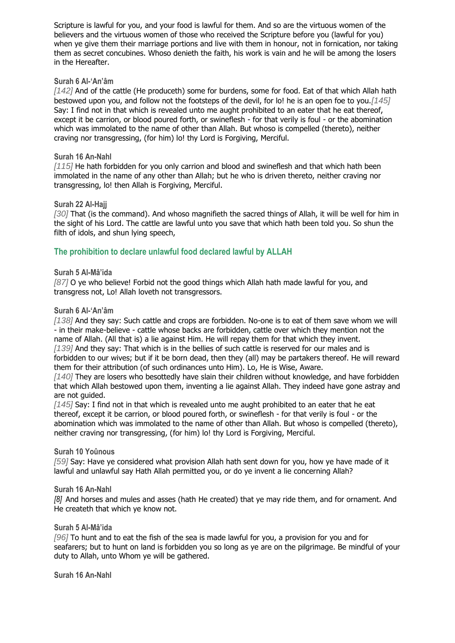Scripture is lawful for you, and your food is lawful for them. And so are the virtuous women of the believers and the virtuous women of those who received the Scripture before you (lawful for you) when ye give them their marriage portions and live with them in honour, not in fornication, nor taking them as secret concubines. Whoso denieth the faith, his work is vain and he will be among the losers in the Hereafter.

## **Surah 6 Al-'An'âm**

*[142]* And of the cattle (He produceth) some for burdens, some for food. Eat of that which Allah hath bestowed upon you, and follow not the footsteps of the devil, for lo! he is an open foe to you.*[145]*  Say: I find not in that which is revealed unto me aught prohibited to an eater that he eat thereof, except it be carrion, or blood poured forth, or swineflesh - for that verily is foul - or the abomination which was immolated to the name of other than Allah. But whoso is compelled (thereto), neither craving nor transgressing, (for him) lo! thy Lord is Forgiving, Merciful.

## **Surah 16 An-Nahl**

*[115]* He hath forbidden for you only carrion and blood and swineflesh and that which hath been immolated in the name of any other than Allah; but he who is driven thereto, neither craving nor transgressing, lo! then Allah is Forgiving, Merciful.

#### **Surah 22 Al-Hajj**

*[30]* That (is the command). And whoso magnifieth the sacred things of Allah, it will be well for him in the sight of his Lord. The cattle are lawful unto you save that which hath been told you. So shun the filth of idols, and shun lying speech,

## **The prohibition to declare unlawful food declared lawful by ALLAH**

#### **Surah 5 Al-Mâ'ida**

*[87]* O ye who believe! Forbid not the good things which Allah hath made lawful for you, and transgress not, Lo! Allah loveth not transgressors.

#### **Surah 6 Al-'An'âm**

*[138]* And they say: Such cattle and crops are forbidden. No-one is to eat of them save whom we will - in their make-believe - cattle whose backs are forbidden, cattle over which they mention not the name of Allah. (All that is) a lie against Him. He will repay them for that which they invent. *[139]* And they say: That which is in the bellies of such cattle is reserved for our males and is forbidden to our wives; but if it be born dead, then they (all) may be partakers thereof. He will reward them for their attribution (of such ordinances unto Him). Lo, He is Wise, Aware.

*[140]* They are losers who besottedly have slain their children without knowledge, and have forbidden that which Allah bestowed upon them, inventing a lie against Allah. They indeed have gone astray and are not guided.

*[145]* Say: I find not in that which is revealed unto me aught prohibited to an eater that he eat thereof, except it be carrion, or blood poured forth, or swineflesh - for that verily is foul - or the abomination which was immolated to the name of other than Allah. But whoso is compelled (thereto), neither craving nor transgressing, (for him) lo! thy Lord is Forgiving, Merciful.

## **Surah 10 Yoûnous**

*[59]* Say: Have ye considered what provision Allah hath sent down for you, how ye have made of it lawful and unlawful say Hath Allah permitted you, or do ye invent a lie concerning Allah?

## **Surah 16 An-Nahl**

*[8]* And horses and mules and asses (hath He created) that ye may ride them, and for ornament. And He createth that which ye know not.

## **Surah 5 Al-Mâ'ida**

*[96]* To hunt and to eat the fish of the sea is made lawful for you, a provision for you and for seafarers; but to hunt on land is forbidden you so long as ye are on the pilgrimage. Be mindful of your duty to Allah, unto Whom ye will be gathered.

**Surah 16 An-Nahl**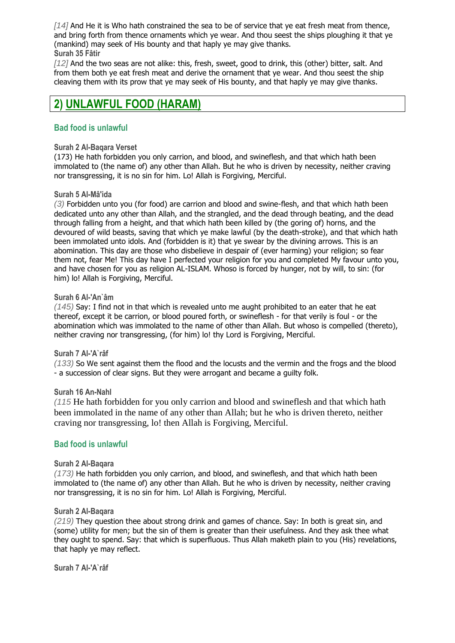*[14]* And He it is Who hath constrained the sea to be of service that ye eat fresh meat from thence, and bring forth from thence ornaments which ye wear. And thou seest the ships ploughing it that ye (mankind) may seek of His bounty and that haply ye may give thanks. **Surah 35 Fâtir**

*[12]* And the two seas are not alike: this, fresh, sweet, good to drink, this (other) bitter, salt. And from them both ye eat fresh meat and derive the ornament that ye wear. And thou seest the ship cleaving them with its prow that ye may seek of His bounty, and that haply ye may give thanks.

## **2) UNLAWFUL FOOD (HARAM)**

## **Bad food is unlawful**

## **Surah 2 Al-Baqara Verset**

(173) He hath forbidden you only carrion, and blood, and swineflesh, and that which hath been immolated to (the name of) any other than Allah. But he who is driven by necessity, neither craving nor transgressing, it is no sin for him. Lo! Allah is Forgiving, Merciful.

## **Surah 5 Al-Mâ'ida**

*(3)* Forbidden unto you (for food) are carrion and blood and swine-flesh, and that which hath been dedicated unto any other than Allah, and the strangled, and the dead through beating, and the dead through falling from a height, and that which hath been killed by (the goring of) horns, and the devoured of wild beasts, saving that which ye make lawful (by the death-stroke), and that which hath been immolated unto idols. And (forbidden is it) that ye swear by the divining arrows. This is an abomination. This day are those who disbelieve in despair of (ever harming) your religion; so fear them not, fear Me! This day have I perfected your religion for you and completed My favour unto you, and have chosen for you as religion AL-ISLAM. Whoso is forced by hunger, not by will, to sin: (for him) lo! Allah is Forgiving, Merciful.

## **Surah 6 Al-'An`âm**

*(145)* Say: I find not in that which is revealed unto me aught prohibited to an eater that he eat thereof, except it be carrion, or blood poured forth, or swineflesh - for that verily is foul - or the abomination which was immolated to the name of other than Allah. But whoso is compelled (thereto), neither craving nor transgressing, (for him) lo! thy Lord is Forgiving, Merciful.

## **Surah 7 Al-'A`râf**

*(133)* So We sent against them the flood and the locusts and the vermin and the frogs and the blood - a succession of clear signs. But they were arrogant and became a guilty folk.

## **Surah 16 An-Nahl**

*(115* He hath forbidden for you only carrion and blood and swineflesh and that which hath been immolated in the name of any other than Allah; but he who is driven thereto, neither craving nor transgressing, lo! then Allah is Forgiving, Merciful.

## **Bad food is unlawful**

## **Surah 2 Al-Baqara**

*(173)* He hath forbidden you only carrion, and blood, and swineflesh, and that which hath been immolated to (the name of) any other than Allah. But he who is driven by necessity, neither craving nor transgressing, it is no sin for him. Lo! Allah is Forgiving, Merciful.

## **Surah 2 Al-Baqara**

*(219)* They question thee about strong drink and games of chance. Say: In both is great sin, and (some) utility for men; but the sin of them is greater than their usefulness. And they ask thee what they ought to spend. Say: that which is superfluous. Thus Allah maketh plain to you (His) revelations, that haply ye may reflect.

**Surah 7 Al-'A`râf**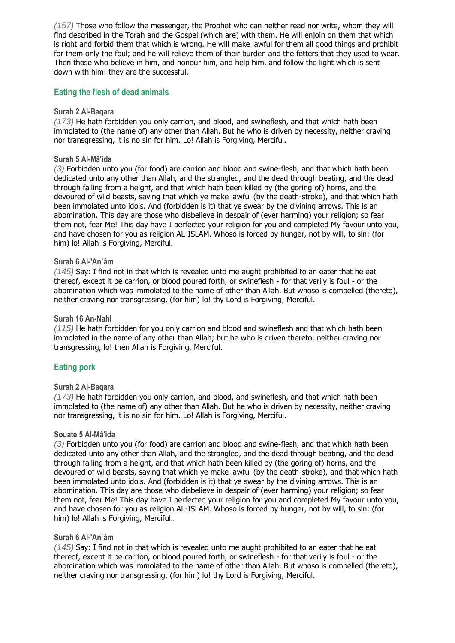*(157)* Those who follow the messenger, the Prophet who can neither read nor write, whom they will find described in the Torah and the Gospel (which are) with them. He will enjoin on them that which is right and forbid them that which is wrong. He will make lawful for them all good things and prohibit for them only the foul; and he will relieve them of their burden and the fetters that they used to wear. Then those who believe in him, and honour him, and help him, and follow the light which is sent down with him: they are the successful.

## **Eating the flesh of dead animals**

#### **Surah 2 Al-Baqara**

*(173)* He hath forbidden you only carrion, and blood, and swineflesh, and that which hath been immolated to (the name of) any other than Allah. But he who is driven by necessity, neither craving nor transgressing, it is no sin for him. Lo! Allah is Forgiving, Merciful.

#### **Surah 5 Al-Mâ'ida**

*(3)* Forbidden unto you (for food) are carrion and blood and swine-flesh, and that which hath been dedicated unto any other than Allah, and the strangled, and the dead through beating, and the dead through falling from a height, and that which hath been killed by (the goring of) horns, and the devoured of wild beasts, saving that which ye make lawful (by the death-stroke), and that which hath been immolated unto idols. And (forbidden is it) that ye swear by the divining arrows. This is an abomination. This day are those who disbelieve in despair of (ever harming) your religion; so fear them not, fear Me! This day have I perfected your religion for you and completed My favour unto you, and have chosen for you as religion AL-ISLAM. Whoso is forced by hunger, not by will, to sin: (for him) lo! Allah is Forgiving, Merciful.

#### **Surah 6 Al-'An`âm**

*(145)* Say: I find not in that which is revealed unto me aught prohibited to an eater that he eat thereof, except it be carrion, or blood poured forth, or swineflesh - for that verily is foul - or the abomination which was immolated to the name of other than Allah. But whoso is compelled (thereto), neither craving nor transgressing, (for him) lo! thy Lord is Forgiving, Merciful.

#### **Surah 16 An-Nahl**

*(115)* He hath forbidden for you only carrion and blood and swineflesh and that which hath been immolated in the name of any other than Allah; but he who is driven thereto, neither craving nor transgressing, lo! then Allah is Forgiving, Merciful.

## **Eating pork**

#### **Surah 2 Al-Baqara**

*(173)* He hath forbidden you only carrion, and blood, and swineflesh, and that which hath been immolated to (the name of) any other than Allah. But he who is driven by necessity, neither craving nor transgressing, it is no sin for him. Lo! Allah is Forgiving, Merciful.

#### **Souate 5 Al-Mâ'ida**

*(3)* Forbidden unto you (for food) are carrion and blood and swine-flesh, and that which hath been dedicated unto any other than Allah, and the strangled, and the dead through beating, and the dead through falling from a height, and that which hath been killed by (the goring of) horns, and the devoured of wild beasts, saving that which ye make lawful (by the death-stroke), and that which hath been immolated unto idols. And (forbidden is it) that ye swear by the divining arrows. This is an abomination. This day are those who disbelieve in despair of (ever harming) your religion; so fear them not, fear Me! This day have I perfected your religion for you and completed My favour unto you, and have chosen for you as religion AL-ISLAM. Whoso is forced by hunger, not by will, to sin: (for him) lo! Allah is Forgiving, Merciful.*.*

#### **Surah 6 Al-'An`âm**

*(145)* Say: I find not in that which is revealed unto me aught prohibited to an eater that he eat thereof, except it be carrion, or blood poured forth, or swineflesh - for that verily is foul - or the abomination which was immolated to the name of other than Allah. But whoso is compelled (thereto), neither craving nor transgressing, (for him) lo! thy Lord is Forgiving, Merciful.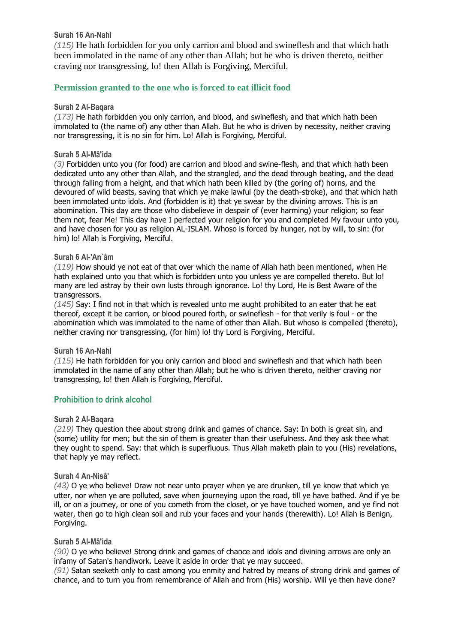## **Surah 16 An-Nahl**

*(115)* He hath forbidden for you only carrion and blood and swineflesh and that which hath been immolated in the name of any other than Allah; but he who is driven thereto, neither craving nor transgressing, lo! then Allah is Forgiving, Merciful.

## **Permission granted to the one who is forced to eat illicit food**

## **Surah 2 Al-Baqara**

*(173)* He hath forbidden you only carrion, and blood, and swineflesh, and that which hath been immolated to (the name of) any other than Allah. But he who is driven by necessity, neither craving nor transgressing, it is no sin for him. Lo! Allah is Forgiving, Merciful.

## **Surah 5 Al-Mâ'ida**

*(3)* Forbidden unto you (for food) are carrion and blood and swine-flesh, and that which hath been dedicated unto any other than Allah, and the strangled, and the dead through beating, and the dead through falling from a height, and that which hath been killed by (the goring of) horns, and the devoured of wild beasts, saving that which ye make lawful (by the death-stroke), and that which hath been immolated unto idols. And (forbidden is it) that ye swear by the divining arrows. This is an abomination. This day are those who disbelieve in despair of (ever harming) your religion; so fear them not, fear Me! This day have I perfected your religion for you and completed My favour unto you, and have chosen for you as religion AL-ISLAM. Whoso is forced by hunger, not by will, to sin: (for him) lo! Allah is Forgiving, Merciful.

## **Surah 6 Al-'An`âm**

*(119)* How should ye not eat of that over which the name of Allah hath been mentioned, when He hath explained unto you that which is forbidden unto you unless ye are compelled thereto. But lo! many are led astray by their own lusts through ignorance. Lo! thy Lord, He is Best Aware of the transgressors.

*(145)* Say: I find not in that which is revealed unto me aught prohibited to an eater that he eat thereof, except it be carrion, or blood poured forth, or swineflesh - for that verily is foul - or the abomination which was immolated to the name of other than Allah. But whoso is compelled (thereto), neither craving nor transgressing, (for him) lo! thy Lord is Forgiving, Merciful.

## **Surah 16 An-Nahl**

*(115)* He hath forbidden for you only carrion and blood and swineflesh and that which hath been immolated in the name of any other than Allah; but he who is driven thereto, neither craving nor transgressing, lo! then Allah is Forgiving, Merciful.

## **Prohibition to drink alcohol**

## **Surah 2 Al-Baqara**

*(219)* They question thee about strong drink and games of chance. Say: In both is great sin, and (some) utility for men; but the sin of them is greater than their usefulness. And they ask thee what they ought to spend. Say: that which is superfluous. Thus Allah maketh plain to you (His) revelations, that haply ye may reflect.

## **Surah 4 An-Nisâ'**

*(43)* O ye who believe! Draw not near unto prayer when ye are drunken, till ye know that which ye utter, nor when ye are polluted, save when journeying upon the road, till ye have bathed. And if ye be ill, or on a journey, or one of you cometh from the closet, or ye have touched women, and ye find not water, then go to high clean soil and rub your faces and your hands (therewith). Lo! Allah is Benign, Forgiving.

## **Surah 5 Al-Mâ'ida**

*(90)* O ye who believe! Strong drink and games of chance and idols and divining arrows are only an infamy of Satan's handiwork. Leave it aside in order that ye may succeed.

*(91)* Satan seeketh only to cast among you enmity and hatred by means of strong drink and games of chance, and to turn you from remembrance of Allah and from (His) worship. Will ye then have done?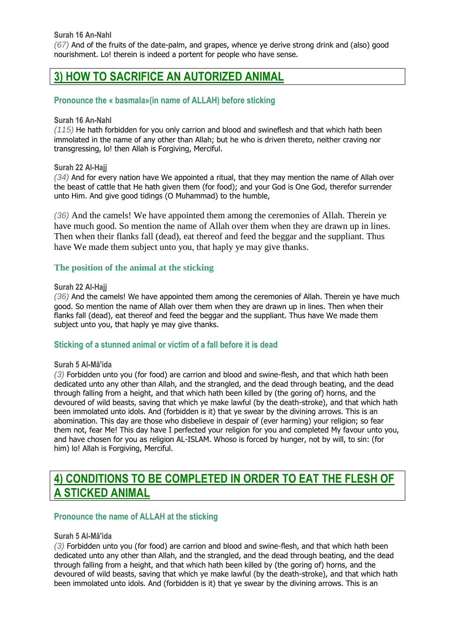*(67)* And of the fruits of the date-palm, and grapes, whence ye derive strong drink and (also) good nourishment. Lo! therein is indeed a portent for people who have sense.

## **3) HOW TO SACRIFICE AN AUTORIZED ANIMAL**

## **Pronounce the « basmala»(in name of ALLAH) before sticking**

## **Surah 16 An-Nahl**

*(115)* He hath forbidden for you only carrion and blood and swineflesh and that which hath been immolated in the name of any other than Allah; but he who is driven thereto, neither craving nor transgressing, lo! then Allah is Forgiving, Merciful.

## **Surah 22 Al-Hajj**

*(34)* And for every nation have We appointed a ritual, that they may mention the name of Allah over the beast of cattle that He hath given them (for food); and your God is One God, therefor surrender unto Him. And give good tidings (O Muhammad) to the humble,

*(36)* And the camels! We have appointed them among the ceremonies of Allah. Therein ye have much good. So mention the name of Allah over them when they are drawn up in lines. Then when their flanks fall (dead), eat thereof and feed the beggar and the suppliant. Thus have We made them subject unto you, that haply ye may give thanks.

## **The position of the animal at the sticking**

## **Surah 22 Al-Hajj**

*(36)* And the camels! We have appointed them among the ceremonies of Allah. Therein ye have much good. So mention the name of Allah over them when they are drawn up in lines. Then when their flanks fall (dead), eat thereof and feed the beggar and the suppliant. Thus have We made them subject unto you, that haply ye may give thanks.

## **Sticking of a stunned animal or victim of a fall before it is dead**

## **Surah 5 Al-Mâ'ida**

*(3)* Forbidden unto you (for food) are carrion and blood and swine-flesh, and that which hath been dedicated unto any other than Allah, and the strangled, and the dead through beating, and the dead through falling from a height, and that which hath been killed by (the goring of) horns, and the devoured of wild beasts, saving that which ye make lawful (by the death-stroke), and that which hath been immolated unto idols. And (forbidden is it) that ye swear by the divining arrows. This is an abomination. This day are those who disbelieve in despair of (ever harming) your religion; so fear them not, fear Me! This day have I perfected your religion for you and completed My favour unto you, and have chosen for you as religion AL-ISLAM. Whoso is forced by hunger, not by will, to sin: (for him) lo! Allah is Forgiving, Merciful.

## **4) CONDITIONS TO BE COMPLETED IN ORDER TO EAT THE FLESH OF A STICKED ANIMAL**

## **Pronounce the name of ALLAH at the sticking**

## **Surah 5 Al-Mâ'ida**

*(3)* Forbidden unto you (for food) are carrion and blood and swine-flesh, and that which hath been dedicated unto any other than Allah, and the strangled, and the dead through beating, and the dead through falling from a height, and that which hath been killed by (the goring of) horns, and the devoured of wild beasts, saving that which ye make lawful (by the death-stroke), and that which hath been immolated unto idols. And (forbidden is it) that ye swear by the divining arrows. This is an